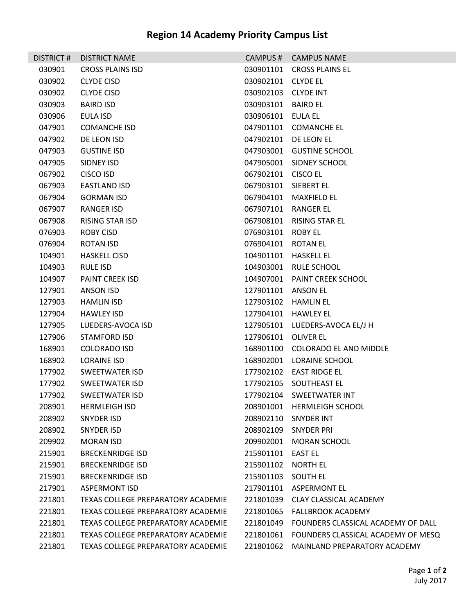| DISTRICT # | <b>DISTRICT NAME</b>               |                     | CAMPUS # CAMPUS NAME                         |
|------------|------------------------------------|---------------------|----------------------------------------------|
| 030901     | <b>CROSS PLAINS ISD</b>            |                     | 030901101 CROSS PLAINS EL                    |
| 030902     | <b>CLYDE CISD</b>                  | 030902101 CLYDE EL  |                                              |
| 030902     | <b>CLYDE CISD</b>                  | 030902103 CLYDE INT |                                              |
| 030903     | <b>BAIRD ISD</b>                   | 030903101 BAIRD EL  |                                              |
| 030906     | EULA ISD                           | 030906101 EULA EL   |                                              |
| 047901     | <b>COMANCHE ISD</b>                |                     | 047901101 COMANCHE EL                        |
| 047902     | DE LEON ISD                        |                     | 047902101 DE LEON EL                         |
| 047903     | <b>GUSTINE ISD</b>                 |                     | 047903001 GUSTINE SCHOOL                     |
| 047905     | SIDNEY ISD                         |                     | 047905001 SIDNEY SCHOOL                      |
| 067902     | <b>CISCO ISD</b>                   | 067902101 CISCO EL  |                                              |
| 067903     | EASTLAND ISD                       |                     | 067903101 SIEBERT EL                         |
| 067904     | <b>GORMAN ISD</b>                  |                     | 067904101 MAXFIELD EL                        |
| 067907     | RANGER ISD                         |                     | 067907101 RANGER EL                          |
| 067908     | RISING STAR ISD                    |                     | 067908101 RISING STAR EL                     |
| 076903     | ROBY CISD                          | 076903101 ROBY EL   |                                              |
| 076904     | <b>ROTAN ISD</b>                   | 076904101 ROTAN EL  |                                              |
| 104901     | <b>HASKELL CISD</b>                |                     | 104901101 HASKELL EL                         |
| 104903     | RULE ISD                           |                     | 104903001 RULE SCHOOL                        |
| 104907     | <b>PAINT CREEK ISD</b>             |                     | 104907001 PAINT CREEK SCHOOL                 |
| 127901     | ANSON ISD                          | 127901101 ANSON EL  |                                              |
| 127903     | <b>HAMLIN ISD</b>                  |                     | 127903102 HAMLIN EL                          |
| 127904     | <b>HAWLEY ISD</b>                  |                     | 127904101 HAWLEY EL                          |
| 127905     | LUEDERS-AVOCA ISD                  |                     | 127905101 LUEDERS-AVOCA EL/J H               |
| 127906     | STAMFORD ISD                       | 127906101 OLIVER EL |                                              |
| 168901     | <b>COLORADO ISD</b>                |                     | 168901100 COLORADO EL AND MIDDLE             |
| 168902     | <b>LORAINE ISD</b>                 |                     | 168902001 LORAINE SCHOOL                     |
| 177902     | SWEETWATER ISD                     |                     | 177902102    EAST RIDGE EL                   |
| 177902     | SWEETWATER ISD                     |                     | 177902105 SOUTHEAST EL                       |
| 177902     | SWEETWATER ISD                     |                     | 177902104 SWEETWATER INT                     |
| 208901     | <b>HERMLEIGH ISD</b>               |                     | 208901001 HERMLEIGH SCHOOL                   |
| 208902     | SNYDER ISD                         |                     | 208902110 SNYDER INT                         |
| 208902     | SNYDER ISD                         | 208902109           | <b>SNYDER PRI</b>                            |
| 209902     | <b>MORAN ISD</b>                   |                     | 209902001 MORAN SCHOOL                       |
| 215901     | <b>BRECKENRIDGE ISD</b>            | 215901101           | <b>EAST EL</b>                               |
| 215901     | <b>BRECKENRIDGE ISD</b>            | 215901102 NORTH EL  |                                              |
| 215901     | <b>BRECKENRIDGE ISD</b>            | 215901103           | <b>SOUTH EL</b>                              |
| 217901     | <b>ASPERMONT ISD</b>               |                     | 217901101 ASPERMONT EL                       |
| 221801     | TEXAS COLLEGE PREPARATORY ACADEMIE | 221801039           | CLAY CLASSICAL ACADEMY                       |
| 221801     | TEXAS COLLEGE PREPARATORY ACADEMIE |                     | 221801065 FALLBROOK ACADEMY                  |
| 221801     | TEXAS COLLEGE PREPARATORY ACADEMIE | 221801049           | FOUNDERS CLASSICAL ACADEMY OF DALL           |
| 221801     | TEXAS COLLEGE PREPARATORY ACADEMIE |                     | 221801061 FOUNDERS CLASSICAL ACADEMY OF MESQ |
| 221801     | TEXAS COLLEGE PREPARATORY ACADEMIE | 221801062           | MAINLAND PREPARATORY ACADEMY                 |